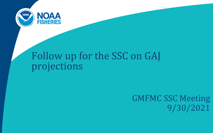

# Follow up for the SSC on GAJ projections

GMFMC SSC Meeting 9/30/2021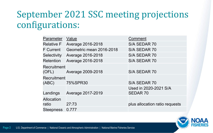## September 2021 SSC meeting projections configurations:

| Value                    | Comment                        |
|--------------------------|--------------------------------|
| <b>Average 2016-2018</b> | S/A SEDAR 70                   |
| Geometric mean 2016-2018 | S/A SEDAR 70                   |
| <b>Average 2016-2018</b> | S/A SEDAR 70                   |
| <b>Average 2016-2018</b> | S/A SEDAR 70                   |
| Recruitment              |                                |
|                          | S/A SEDAR 70                   |
| Recruitment              |                                |
| 75%SPR30                 | S/A SEDAR 70                   |
|                          | Used in 2020-2021 S/A          |
| <b>Average 2017-2019</b> | <b>SEDAR 70</b>                |
|                          |                                |
| 27:73                    | plus allocation ratio requests |
| 0.777                    |                                |
|                          | Average 2009-2018              |

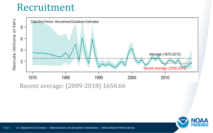## Recruitment





Page 3 U.S. Department of Commerce | National Oceanic and Atmospheric Administration | National Marine Fisheries Service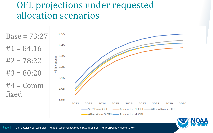### OFL projections under requested allocation scenarios

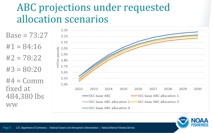# ABC projections under requested allocation scenarios



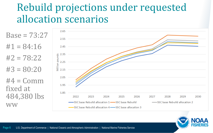# Rebuild projections under requested allocation scenarios





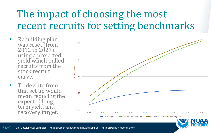# The impact of choosing the most recent recruits for setting benchmarks

- Rebuilding plan was reset (from 2012 to 2027) using a projected yield which pulled recruits from the stock recruit curve.
- To deviate from that set up would mean reducing the expected long term yield and recovery target.



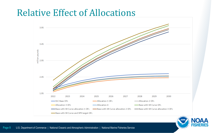#### Relative Effect of Allocations



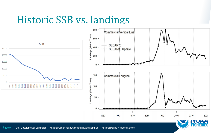## Historic SSB vs. landings





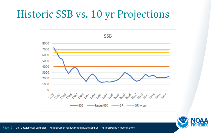# Historic SSB vs. 10 yr Projections



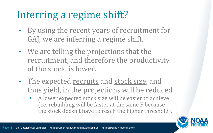# Inferring a regime shift?

- By using the recent years of recruitment for GAJ, we are inferring a regime shift.
- We are telling the projections that the recruitment, and therefore the productivity of the stock, is lower.
- The expected recruits and stock size, and thus yield, in the projections will be reduced
	- A lower expected stock size will be easier to achieve (i.e. rebuilding will be faster at the same F because the stock doesn't have to reach the higher threshold).

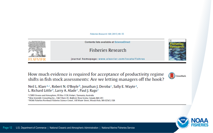#### Fisheries Research 168 (2015) 49-55



How much evidence is required for acceptance of productivity regime shifts in fish stock assessments: Are we letting managers off the hook?



Neil L. Klaer<sup>a,\*</sup>, Robert N. O'Boyle<sup>b</sup>, Jonathan J. Deroba<sup>c</sup>, Sally E. Wayte<sup>a</sup>, L. Richard Little<sup>a</sup>, Larry A. Alade<sup>c</sup>, Paul J. Rago<sup>c</sup>

<sup>a</sup> CSIRO Oceans and Atmosphere, PO Box 1538, Hobart, Tasmania, Australia

<sup>b</sup> Beta Scientific Consulting Inc., 1042 Shore Dr. Bedford, Nova Scotia, Canada B4A 2E5

<sup>c</sup> NOAA Fisheries Northeast Fisheries Science Center, 166 Water Street, Woods Hole, MA 02543, USA